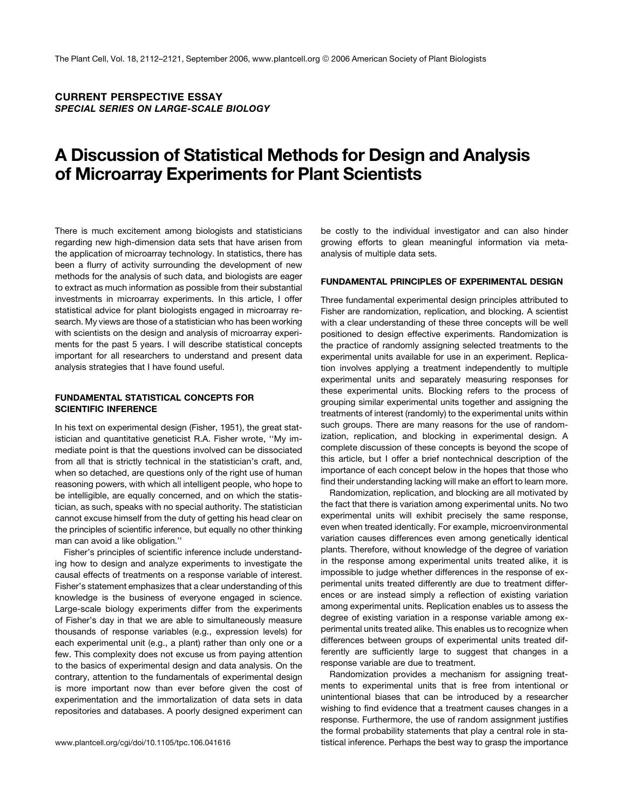CURRENT PERSPECTIVE ESSAY SPECIAL SERIES ON LARGE-SCALE BIOLOGY

# A Discussion of Statistical Methods for Design and Analysis of Microarray Experiments for Plant Scientists

There is much excitement among biologists and statisticians regarding new high-dimension data sets that have arisen from the application of microarray technology. In statistics, there has been a flurry of activity surrounding the development of new methods for the analysis of such data, and biologists are eager to extract as much information as possible from their substantial investments in microarray experiments. In this article, I offer statistical advice for plant biologists engaged in microarray research. My views are those of a statistician who has been working with scientists on the design and analysis of microarray experiments for the past 5 years. I will describe statistical concepts important for all researchers to understand and present data analysis strategies that I have found useful.

#### FUNDAMENTAL STATISTICAL CONCEPTS FOR SCIENTIFIC INFERENCE

In his text on experimental design (Fisher, 1951), the great statistician and quantitative geneticist R.A. Fisher wrote, ''My immediate point is that the questions involved can be dissociated from all that is strictly technical in the statistician's craft, and, when so detached, are questions only of the right use of human reasoning powers, with which all intelligent people, who hope to be intelligible, are equally concerned, and on which the statistician, as such, speaks with no special authority. The statistician cannot excuse himself from the duty of getting his head clear on the principles of scientific inference, but equally no other thinking man can avoid a like obligation.''

Fisher's principles of scientific inference include understanding how to design and analyze experiments to investigate the causal effects of treatments on a response variable of interest. Fisher's statement emphasizes that a clear understanding of this knowledge is the business of everyone engaged in science. Large-scale biology experiments differ from the experiments of Fisher's day in that we are able to simultaneously measure thousands of response variables (e.g., expression levels) for each experimental unit (e.g., a plant) rather than only one or a few. This complexity does not excuse us from paying attention to the basics of experimental design and data analysis. On the contrary, attention to the fundamentals of experimental design is more important now than ever before given the cost of experimentation and the immortalization of data sets in data repositories and databases. A poorly designed experiment can

be costly to the individual investigator and can also hinder growing efforts to glean meaningful information via metaanalysis of multiple data sets.

#### FUNDAMENTAL PRINCIPLES OF EXPERIMENTAL DESIGN

Three fundamental experimental design principles attributed to Fisher are randomization, replication, and blocking. A scientist with a clear understanding of these three concepts will be well positioned to design effective experiments. Randomization is the practice of randomly assigning selected treatments to the experimental units available for use in an experiment. Replication involves applying a treatment independently to multiple experimental units and separately measuring responses for these experimental units. Blocking refers to the process of grouping similar experimental units together and assigning the treatments of interest (randomly) to the experimental units within such groups. There are many reasons for the use of randomization, replication, and blocking in experimental design. A complete discussion of these concepts is beyond the scope of this article, but I offer a brief nontechnical description of the importance of each concept below in the hopes that those who find their understanding lacking will make an effort to learn more.

Randomization, replication, and blocking are all motivated by the fact that there is variation among experimental units. No two experimental units will exhibit precisely the same response, even when treated identically. For example, microenvironmental variation causes differences even among genetically identical plants. Therefore, without knowledge of the degree of variation in the response among experimental units treated alike, it is impossible to judge whether differences in the response of experimental units treated differently are due to treatment differences or are instead simply a reflection of existing variation among experimental units. Replication enables us to assess the degree of existing variation in a response variable among experimental units treated alike. This enables us to recognize when differences between groups of experimental units treated differently are sufficiently large to suggest that changes in a response variable are due to treatment.

Randomization provides a mechanism for assigning treatments to experimental units that is free from intentional or unintentional biases that can be introduced by a researcher wishing to find evidence that a treatment causes changes in a response. Furthermore, the use of random assignment justifies the formal probability statements that play a central role in stawww.plantcell.org/cgi/doi/10.1105/tpc.106.041616 tistical inference. Perhaps the best way to grasp the importance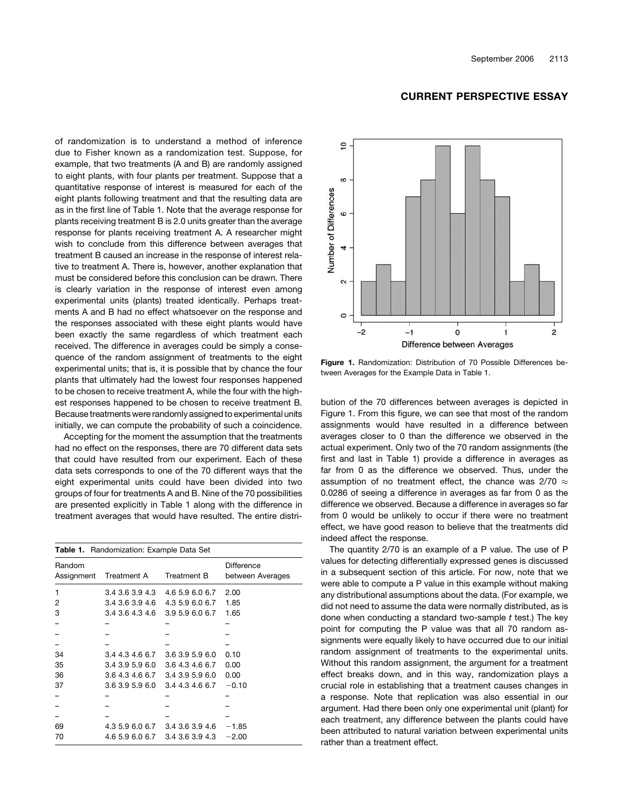of randomization is to understand a method of inference due to Fisher known as a randomization test. Suppose, for example, that two treatments (A and B) are randomly assigned to eight plants, with four plants per treatment. Suppose that a quantitative response of interest is measured for each of the eight plants following treatment and that the resulting data are as in the first line of Table 1. Note that the average response for plants receiving treatment B is 2.0 units greater than the average response for plants receiving treatment A. A researcher might wish to conclude from this difference between averages that treatment B caused an increase in the response of interest relative to treatment A. There is, however, another explanation that must be considered before this conclusion can be drawn. There is clearly variation in the response of interest even among experimental units (plants) treated identically. Perhaps treatments A and B had no effect whatsoever on the response and the responses associated with these eight plants would have been exactly the same regardless of which treatment each received. The difference in averages could be simply a consequence of the random assignment of treatments to the eight experimental units; that is, it is possible that by chance the four plants that ultimately had the lowest four responses happened to be chosen to receive treatment A, while the four with the highest responses happened to be chosen to receive treatment B. Because treatments were randomly assigned to experimental units initially, we can compute the probability of such a coincidence.

Accepting for the moment the assumption that the treatments had no effect on the responses, there are 70 different data sets that could have resulted from our experiment. Each of these data sets corresponds to one of the 70 different ways that the eight experimental units could have been divided into two groups of four for treatments A and B. Nine of the 70 possibilities are presented explicitly in Table 1 along with the difference in treatment averages that would have resulted. The entire distri-

| <b>Table 1.</b> Randomization: Example Data Set |                                                                                                       |                                    |                                       |  |
|-------------------------------------------------|-------------------------------------------------------------------------------------------------------|------------------------------------|---------------------------------------|--|
| Random                                          | Assignment Treatment A                                                                                | Treatment B                        | <b>Difference</b><br>between Averages |  |
| 1<br>2<br>3                                     | 3.4 3.6 3.9 4.3 4.6 5.9 6.0 6.7<br>3.4 3.6 3.9 4.6 4.3 5.9 6.0 6.7<br>3.4 3.6 4.3 4.6 3.9 5.9 6.0 6.7 |                                    | 2.00<br>1.85<br>1.65                  |  |
|                                                 |                                                                                                       |                                    |                                       |  |
| 34<br>35<br>36                                  | 3.4 4.3 4.6 6.7 3.6 3.9 5.9 6.0<br>3.4 3.9 5.9 6.0<br>3.6 4.3 4.6 6.7 3.4 3.9 5.9 6.0                 | 3.6 4.3 4.6 6.7                    | 0.10<br>0.00<br>0.00                  |  |
| 37                                              | 3.6 3.9 5.9 6.0                                                                                       | 3.4 4.3 4.6 6.7                    | $-0.10$                               |  |
| 69<br>70                                        | 4.3 5.9 6.0 6.7<br>4.6 5.9 6.0 6.7                                                                    | 3.4 3.6 3.9 4.6<br>3.4 3.6 3.9 4.3 | $-1.85$<br>$-2.00$                    |  |

#### CURRENT PERSPECTIVE ESSAY



Figure 1. Randomization: Distribution of 70 Possible Differences between Averages for the Example Data in Table 1.

bution of the 70 differences between averages is depicted in Figure 1. From this figure, we can see that most of the random assignments would have resulted in a difference between averages closer to 0 than the difference we observed in the actual experiment. Only two of the 70 random assignments (the first and last in Table 1) provide a difference in averages as far from 0 as the difference we observed. Thus, under the assumption of no treatment effect, the chance was 2/70  $\approx$ 0.0286 of seeing a difference in averages as far from 0 as the difference we observed. Because a difference in averages so far from 0 would be unlikely to occur if there were no treatment effect, we have good reason to believe that the treatments did indeed affect the response.

The quantity 2/70 is an example of a P value. The use of P values for detecting differentially expressed genes is discussed in a subsequent section of this article. For now, note that we were able to compute a P value in this example without making any distributional assumptions about the data. (For example, we did not need to assume the data were normally distributed, as is done when conducting a standard two-sample *t* test.) The key point for computing the P value was that all 70 random assignments were equally likely to have occurred due to our initial random assignment of treatments to the experimental units. Without this random assignment, the argument for a treatment effect breaks down, and in this way, randomization plays a crucial role in establishing that a treatment causes changes in a response. Note that replication was also essential in our argument. Had there been only one experimental unit (plant) for each treatment, any difference between the plants could have been attributed to natural variation between experimental units rather than a treatment effect.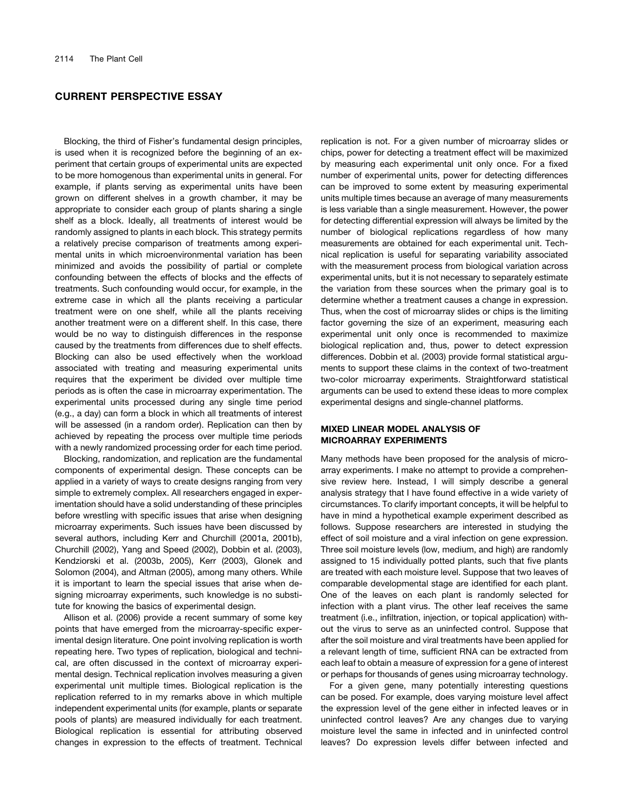Blocking, the third of Fisher's fundamental design principles, is used when it is recognized before the beginning of an experiment that certain groups of experimental units are expected to be more homogenous than experimental units in general. For example, if plants serving as experimental units have been grown on different shelves in a growth chamber, it may be appropriate to consider each group of plants sharing a single shelf as a block. Ideally, all treatments of interest would be randomly assigned to plants in each block. This strategy permits a relatively precise comparison of treatments among experimental units in which microenvironmental variation has been minimized and avoids the possibility of partial or complete confounding between the effects of blocks and the effects of treatments. Such confounding would occur, for example, in the extreme case in which all the plants receiving a particular treatment were on one shelf, while all the plants receiving another treatment were on a different shelf. In this case, there would be no way to distinguish differences in the response caused by the treatments from differences due to shelf effects. Blocking can also be used effectively when the workload associated with treating and measuring experimental units requires that the experiment be divided over multiple time periods as is often the case in microarray experimentation. The experimental units processed during any single time period (e.g., a day) can form a block in which all treatments of interest will be assessed (in a random order). Replication can then by achieved by repeating the process over multiple time periods with a newly randomized processing order for each time period.

Blocking, randomization, and replication are the fundamental components of experimental design. These concepts can be applied in a variety of ways to create designs ranging from very simple to extremely complex. All researchers engaged in experimentation should have a solid understanding of these principles before wrestling with specific issues that arise when designing microarray experiments. Such issues have been discussed by several authors, including Kerr and Churchill (2001a, 2001b), Churchill (2002), Yang and Speed (2002), Dobbin et al. (2003), Kendziorski et al. (2003b, 2005), Kerr (2003), Glonek and Solomon (2004), and Altman (2005), among many others. While it is important to learn the special issues that arise when designing microarray experiments, such knowledge is no substitute for knowing the basics of experimental design.

Allison et al. (2006) provide a recent summary of some key points that have emerged from the microarray-specific experimental design literature. One point involving replication is worth repeating here. Two types of replication, biological and technical, are often discussed in the context of microarray experimental design. Technical replication involves measuring a given experimental unit multiple times. Biological replication is the replication referred to in my remarks above in which multiple independent experimental units (for example, plants or separate pools of plants) are measured individually for each treatment. Biological replication is essential for attributing observed changes in expression to the effects of treatment. Technical

replication is not. For a given number of microarray slides or chips, power for detecting a treatment effect will be maximized by measuring each experimental unit only once. For a fixed number of experimental units, power for detecting differences can be improved to some extent by measuring experimental units multiple times because an average of many measurements is less variable than a single measurement. However, the power for detecting differential expression will always be limited by the number of biological replications regardless of how many measurements are obtained for each experimental unit. Technical replication is useful for separating variability associated with the measurement process from biological variation across experimental units, but it is not necessary to separately estimate the variation from these sources when the primary goal is to determine whether a treatment causes a change in expression. Thus, when the cost of microarray slides or chips is the limiting factor governing the size of an experiment, measuring each experimental unit only once is recommended to maximize biological replication and, thus, power to detect expression differences. Dobbin et al. (2003) provide formal statistical arguments to support these claims in the context of two-treatment two-color microarray experiments. Straightforward statistical arguments can be used to extend these ideas to more complex experimental designs and single-channel platforms.

#### MIXED LINEAR MODEL ANALYSIS OF MICROARRAY EXPERIMENTS

Many methods have been proposed for the analysis of microarray experiments. I make no attempt to provide a comprehensive review here. Instead, I will simply describe a general analysis strategy that I have found effective in a wide variety of circumstances. To clarify important concepts, it will be helpful to have in mind a hypothetical example experiment described as follows. Suppose researchers are interested in studying the effect of soil moisture and a viral infection on gene expression. Three soil moisture levels (low, medium, and high) are randomly assigned to 15 individually potted plants, such that five plants are treated with each moisture level. Suppose that two leaves of comparable developmental stage are identified for each plant. One of the leaves on each plant is randomly selected for infection with a plant virus. The other leaf receives the same treatment (i.e., infiltration, injection, or topical application) without the virus to serve as an uninfected control. Suppose that after the soil moisture and viral treatments have been applied for a relevant length of time, sufficient RNA can be extracted from each leaf to obtain a measure of expression for a gene of interest or perhaps for thousands of genes using microarray technology.

For a given gene, many potentially interesting questions can be posed. For example, does varying moisture level affect the expression level of the gene either in infected leaves or in uninfected control leaves? Are any changes due to varying moisture level the same in infected and in uninfected control leaves? Do expression levels differ between infected and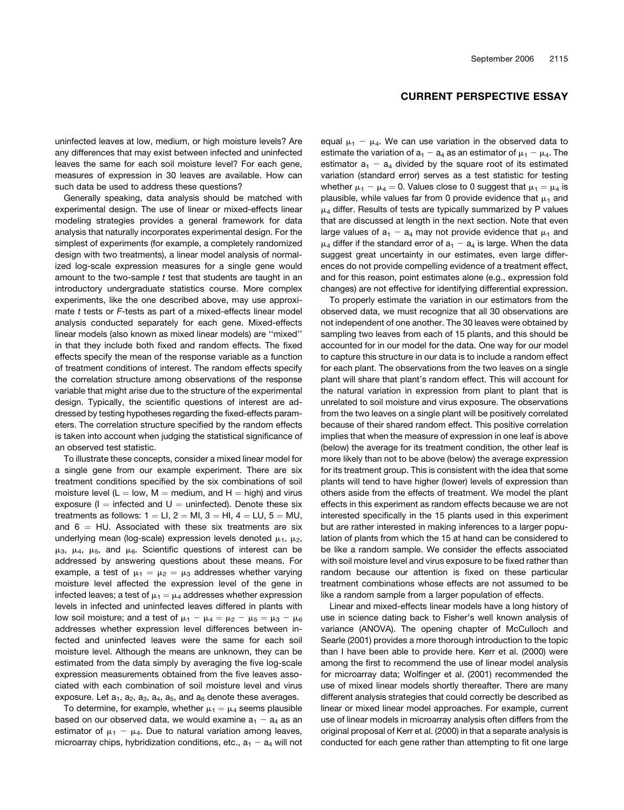### uninfected leaves at low, medium, or high moisture levels? Are any differences that may exist between infected and uninfected leaves the same for each soil moisture level? For each gene, measures of expression in 30 leaves are available. How can such data be used to address these questions?

Generally speaking, data analysis should be matched with experimental design. The use of linear or mixed-effects linear modeling strategies provides a general framework for data analysis that naturally incorporates experimental design. For the simplest of experiments (for example, a completely randomized design with two treatments), a linear model analysis of normalized log-scale expression measures for a single gene would amount to the two-sample *t* test that students are taught in an introductory undergraduate statistics course. More complex experiments, like the one described above, may use approximate *t* tests or *F*-tests as part of a mixed-effects linear model analysis conducted separately for each gene. Mixed-effects linear models (also known as mixed linear models) are ''mixed'' in that they include both fixed and random effects. The fixed effects specify the mean of the response variable as a function of treatment conditions of interest. The random effects specify the correlation structure among observations of the response variable that might arise due to the structure of the experimental design. Typically, the scientific questions of interest are addressed by testing hypotheses regarding the fixed-effects parameters. The correlation structure specified by the random effects is taken into account when judging the statistical significance of an observed test statistic.

To illustrate these concepts, consider a mixed linear model for a single gene from our example experiment. There are six treatment conditions specified by the six combinations of soil moisture level ( $L = low$ , M = medium, and H = high) and virus exposure ( $I =$  infected and  $U =$  uninfected). Denote these six treatments as follows:  $1 = LI$ ,  $2 = MI$ ,  $3 = HI$ ,  $4 = LU$ ,  $5 = MU$ , and  $6 = HU$ . Associated with these six treatments are six underlying mean (log-scale) expression levels denoted  $\mu_1$ ,  $\mu_2$ ,  $\mu_3$ ,  $\mu_4$ ,  $\mu_5$ , and  $\mu_6$ . Scientific questions of interest can be addressed by answering questions about these means. For example, a test of  $\mu_1 = \mu_2 = \mu_3$  addresses whether varying moisture level affected the expression level of the gene in infected leaves; a test of  $\mu_1 = \mu_4$  addresses whether expression levels in infected and uninfected leaves differed in plants with low soil moisture; and a test of  $\mu_1 - \mu_4 = \mu_2 - \mu_5 = \mu_3 - \mu_6$ addresses whether expression level differences between infected and uninfected leaves were the same for each soil moisture level. Although the means are unknown, they can be estimated from the data simply by averaging the five log-scale expression measurements obtained from the five leaves associated with each combination of soil moisture level and virus exposure. Let  $a_1$ ,  $a_2$ ,  $a_3$ ,  $a_4$ ,  $a_5$ , and  $a_6$  denote these averages.

To determine, for example, whether  $\mu_1 = \mu_4$  seems plausible based on our observed data, we would examine  $a_1 - a_4$  as an estimator of  $\mu_1 - \mu_4$ . Due to natural variation among leaves, microarray chips, hybridization conditions, etc.,  $a_1 - a_4$  will not

# CURRENT PERSPECTIVE ESSAY

equal  $\mu_1 - \mu_4$ . We can use variation in the observed data to estimate the variation of  $a_1 - a_4$  as an estimator of  $\mu_1 - \mu_4$ . The estimator  $a_1 - a_4$  divided by the square root of its estimated variation (standard error) serves as a test statistic for testing whether  $\mu_1 - \mu_4 = 0$ . Values close to 0 suggest that  $\mu_1 = \mu_4$  is plausible, while values far from 0 provide evidence that  $\mu_1$  and  $\mu_4$  differ. Results of tests are typically summarized by P values that are discussed at length in the next section. Note that even large values of  $a_1 - a_4$  may not provide evidence that  $\mu_1$  and  $\mu_4$  differ if the standard error of  $a_1 - a_4$  is large. When the data suggest great uncertainty in our estimates, even large differences do not provide compelling evidence of a treatment effect, and for this reason, point estimates alone (e.g., expression fold changes) are not effective for identifying differential expression.

To properly estimate the variation in our estimators from the observed data, we must recognize that all 30 observations are not independent of one another. The 30 leaves were obtained by sampling two leaves from each of 15 plants, and this should be accounted for in our model for the data. One way for our model to capture this structure in our data is to include a random effect for each plant. The observations from the two leaves on a single plant will share that plant's random effect. This will account for the natural variation in expression from plant to plant that is unrelated to soil moisture and virus exposure. The observations from the two leaves on a single plant will be positively correlated because of their shared random effect. This positive correlation implies that when the measure of expression in one leaf is above (below) the average for its treatment condition, the other leaf is more likely than not to be above (below) the average expression for its treatment group. This is consistent with the idea that some plants will tend to have higher (lower) levels of expression than others aside from the effects of treatment. We model the plant effects in this experiment as random effects because we are not interested specifically in the 15 plants used in this experiment but are rather interested in making inferences to a larger population of plants from which the 15 at hand can be considered to be like a random sample. We consider the effects associated with soil moisture level and virus exposure to be fixed rather than random because our attention is fixed on these particular treatment combinations whose effects are not assumed to be like a random sample from a larger population of effects.

Linear and mixed-effects linear models have a long history of use in science dating back to Fisher's well known analysis of variance (ANOVA). The opening chapter of McCulloch and Searle (2001) provides a more thorough introduction to the topic than I have been able to provide here. Kerr et al. (2000) were among the first to recommend the use of linear model analysis for microarray data; Wolfinger et al. (2001) recommended the use of mixed linear models shortly thereafter. There are many different analysis strategies that could correctly be described as linear or mixed linear model approaches. For example, current use of linear models in microarray analysis often differs from the original proposal of Kerr et al. (2000) in that a separate analysis is conducted for each gene rather than attempting to fit one large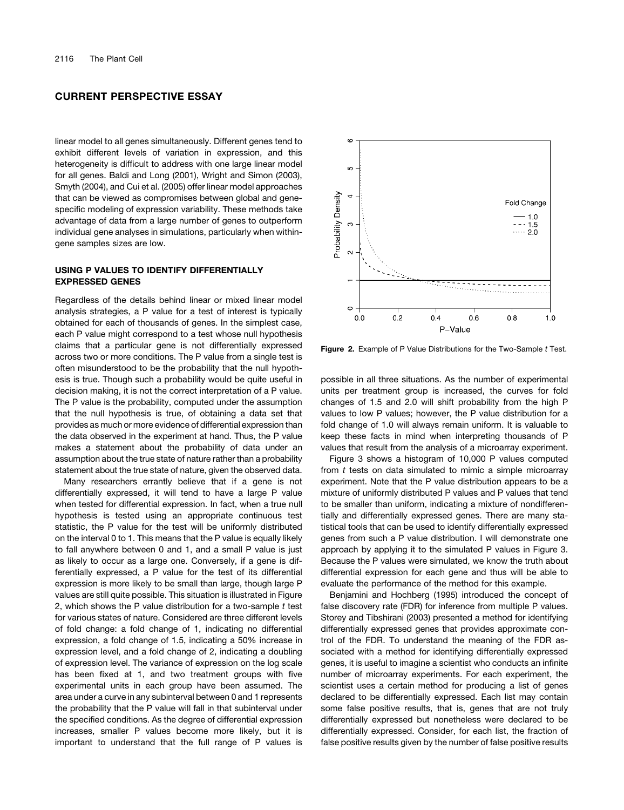linear model to all genes simultaneously. Different genes tend to exhibit different levels of variation in expression, and this heterogeneity is difficult to address with one large linear model for all genes. Baldi and Long (2001), Wright and Simon (2003), Smyth (2004), and Cui et al. (2005) offer linear model approaches that can be viewed as compromises between global and genespecific modeling of expression variability. These methods take advantage of data from a large number of genes to outperform individual gene analyses in simulations, particularly when withingene samples sizes are low.

### USING P VALUES TO IDENTIFY DIFFERENTIALLY EXPRESSED GENES

Regardless of the details behind linear or mixed linear model analysis strategies, a P value for a test of interest is typically obtained for each of thousands of genes. In the simplest case, each P value might correspond to a test whose null hypothesis claims that a particular gene is not differentially expressed across two or more conditions. The P value from a single test is often misunderstood to be the probability that the null hypothesis is true. Though such a probability would be quite useful in decision making, it is not the correct interpretation of a P value. The P value is the probability, computed under the assumption that the null hypothesis is true, of obtaining a data set that provides as much or more evidence of differential expression than the data observed in the experiment at hand. Thus, the P value makes a statement about the probability of data under an assumption about the true state of nature rather than a probability statement about the true state of nature, given the observed data.

Many researchers errantly believe that if a gene is not differentially expressed, it will tend to have a large P value when tested for differential expression. In fact, when a true null hypothesis is tested using an appropriate continuous test statistic, the P value for the test will be uniformly distributed on the interval 0 to 1. This means that the P value is equally likely to fall anywhere between 0 and 1, and a small P value is just as likely to occur as a large one. Conversely, if a gene is differentially expressed, a P value for the test of its differential expression is more likely to be small than large, though large P values are still quite possible. This situation is illustrated in Figure 2, which shows the P value distribution for a two-sample *t* test for various states of nature. Considered are three different levels of fold change: a fold change of 1, indicating no differential expression, a fold change of 1.5, indicating a 50% increase in expression level, and a fold change of 2, indicating a doubling of expression level. The variance of expression on the log scale has been fixed at 1, and two treatment groups with five experimental units in each group have been assumed. The area under a curve in any subinterval between 0 and 1 represents the probability that the P value will fall in that subinterval under the specified conditions. As the degree of differential expression increases, smaller P values become more likely, but it is important to understand that the full range of P values is



Figure 2. Example of P Value Distributions for the Two-Sample *t* Test.

possible in all three situations. As the number of experimental units per treatment group is increased, the curves for fold changes of 1.5 and 2.0 will shift probability from the high P values to low P values; however, the P value distribution for a fold change of 1.0 will always remain uniform. It is valuable to keep these facts in mind when interpreting thousands of P values that result from the analysis of a microarray experiment.

Figure 3 shows a histogram of 10,000 P values computed from *t* tests on data simulated to mimic a simple microarray experiment. Note that the P value distribution appears to be a mixture of uniformly distributed P values and P values that tend to be smaller than uniform, indicating a mixture of nondifferentially and differentially expressed genes. There are many statistical tools that can be used to identify differentially expressed genes from such a P value distribution. I will demonstrate one approach by applying it to the simulated P values in Figure 3. Because the P values were simulated, we know the truth about differential expression for each gene and thus will be able to evaluate the performance of the method for this example.

Benjamini and Hochberg (1995) introduced the concept of false discovery rate (FDR) for inference from multiple P values. Storey and Tibshirani (2003) presented a method for identifying differentially expressed genes that provides approximate control of the FDR. To understand the meaning of the FDR associated with a method for identifying differentially expressed genes, it is useful to imagine a scientist who conducts an infinite number of microarray experiments. For each experiment, the scientist uses a certain method for producing a list of genes declared to be differentially expressed. Each list may contain some false positive results, that is, genes that are not truly differentially expressed but nonetheless were declared to be differentially expressed. Consider, for each list, the fraction of false positive results given by the number of false positive results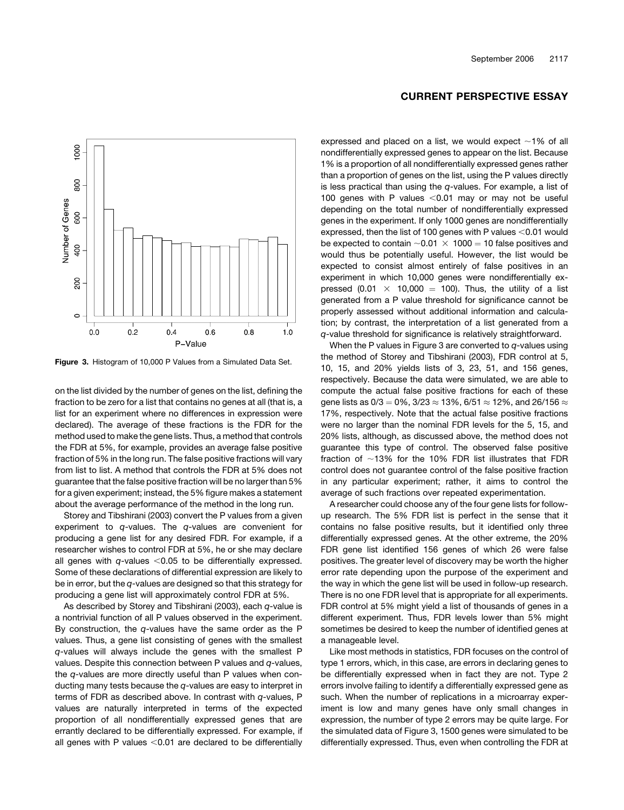

expressed and placed on a list, we would expect  $\sim$ 1% of all nondifferentially expressed genes to appear on the list. Because 1% is a proportion of all nondifferentially expressed genes rather than a proportion of genes on the list, using the P values directly is less practical than using the *q*-values. For example, a list of 100 genes with P values  $<$  0.01 may or may not be useful depending on the total number of nondifferentially expressed genes in the experiment. If only 1000 genes are nondifferentially expressed, then the list of 100 genes with P values  $<$  0.01 would be expected to contain  $\sim$  0.01  $\times$  1000 = 10 false positives and would thus be potentially useful. However, the list would be expected to consist almost entirely of false positives in an experiment in which 10,000 genes were nondifferentially expressed (0.01  $\times$  10,000 = 100). Thus, the utility of a list generated from a P value threshold for significance cannot be properly assessed without additional information and calculation; by contrast, the interpretation of a list generated from a *q*-value threshold for significance is relatively straightforward.

When the P values in Figure 3 are converted to *q*-values using the method of Storey and Tibshirani (2003), FDR control at 5, 10, 15, and 20% yields lists of 3, 23, 51, and 156 genes, respectively. Because the data were simulated, we are able to compute the actual false positive fractions for each of these gene lists as  $0/3 = 0\%$ ,  $3/23 \approx 13\%$ ,  $6/51 \approx 12\%$ , and  $26/156 \approx$ 17%, respectively. Note that the actual false positive fractions were no larger than the nominal FDR levels for the 5, 15, and 20% lists, although, as discussed above, the method does not guarantee this type of control. The observed false positive fraction of  $~13\%$  for the 10% FDR list illustrates that FDR control does not guarantee control of the false positive fraction in any particular experiment; rather, it aims to control the average of such fractions over repeated experimentation.

A researcher could choose any of the four gene lists for followup research. The 5% FDR list is perfect in the sense that it contains no false positive results, but it identified only three differentially expressed genes. At the other extreme, the 20% FDR gene list identified 156 genes of which 26 were false positives. The greater level of discovery may be worth the higher error rate depending upon the purpose of the experiment and the way in which the gene list will be used in follow-up research. There is no one FDR level that is appropriate for all experiments. FDR control at 5% might yield a list of thousands of genes in a different experiment. Thus, FDR levels lower than 5% might sometimes be desired to keep the number of identified genes at a manageable level.

Like most methods in statistics, FDR focuses on the control of type 1 errors, which, in this case, are errors in declaring genes to be differentially expressed when in fact they are not. Type 2 errors involve failing to identify a differentially expressed gene as such. When the number of replications in a microarray experiment is low and many genes have only small changes in expression, the number of type 2 errors may be quite large. For the simulated data of Figure 3, 1500 genes were simulated to be differentially expressed. Thus, even when controlling the FDR at



8

800

Figure 3. Histogram of 10,000 P Values from a Simulated Data Set.

on the list divided by the number of genes on the list, defining the fraction to be zero for a list that contains no genes at all (that is, a list for an experiment where no differences in expression were declared). The average of these fractions is the FDR for the method used to make the gene lists. Thus, a method that controls the FDR at 5%, for example, provides an average false positive fraction of 5% in the long run. The false positive fractions will vary from list to list. A method that controls the FDR at 5% does not guarantee that the false positive fraction will be no larger than 5% for a given experiment; instead, the 5% figure makes a statement about the average performance of the method in the long run.

Storey and Tibshirani (2003) convert the P values from a given experiment to *q*-values. The *q*-values are convenient for producing a gene list for any desired FDR. For example, if a researcher wishes to control FDR at 5%, he or she may declare all genes with  $q$ -values  $<$  0.05 to be differentially expressed. Some of these declarations of differential expression are likely to be in error, but the *q*-values are designed so that this strategy for producing a gene list will approximately control FDR at 5%.

As described by Storey and Tibshirani (2003), each *q*-value is a nontrivial function of all P values observed in the experiment. By construction, the *q*-values have the same order as the P values. Thus, a gene list consisting of genes with the smallest *q*-values will always include the genes with the smallest P values. Despite this connection between P values and *q*-values, the *q*-values are more directly useful than P values when conducting many tests because the *q*-values are easy to interpret in terms of FDR as described above. In contrast with *q*-values, P values are naturally interpreted in terms of the expected proportion of all nondifferentially expressed genes that are errantly declared to be differentially expressed. For example, if all genes with P values  $< 0.01$  are declared to be differentially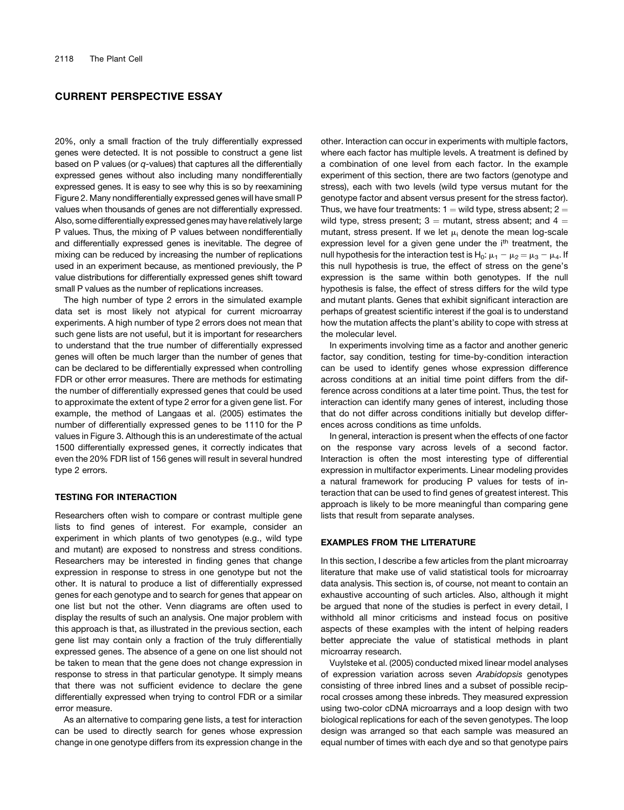20%, only a small fraction of the truly differentially expressed genes were detected. It is not possible to construct a gene list based on P values (or *q*-values) that captures all the differentially expressed genes without also including many nondifferentially expressed genes. It is easy to see why this is so by reexamining Figure 2. Many nondifferentially expressed genes will have small P values when thousands of genes are not differentially expressed. Also, some differentially expressed genes may have relatively large P values. Thus, the mixing of P values between nondifferentially and differentially expressed genes is inevitable. The degree of mixing can be reduced by increasing the number of replications used in an experiment because, as mentioned previously, the P value distributions for differentially expressed genes shift toward small P values as the number of replications increases.

The high number of type 2 errors in the simulated example data set is most likely not atypical for current microarray experiments. A high number of type 2 errors does not mean that such gene lists are not useful, but it is important for researchers to understand that the true number of differentially expressed genes will often be much larger than the number of genes that can be declared to be differentially expressed when controlling FDR or other error measures. There are methods for estimating the number of differentially expressed genes that could be used to approximate the extent of type 2 error for a given gene list. For example, the method of Langaas et al. (2005) estimates the number of differentially expressed genes to be 1110 for the P values in Figure 3. Although this is an underestimate of the actual 1500 differentially expressed genes, it correctly indicates that even the 20% FDR list of 156 genes will result in several hundred type 2 errors.

### TESTING FOR INTERACTION

Researchers often wish to compare or contrast multiple gene lists to find genes of interest. For example, consider an experiment in which plants of two genotypes (e.g., wild type and mutant) are exposed to nonstress and stress conditions. Researchers may be interested in finding genes that change expression in response to stress in one genotype but not the other. It is natural to produce a list of differentially expressed genes for each genotype and to search for genes that appear on one list but not the other. Venn diagrams are often used to display the results of such an analysis. One major problem with this approach is that, as illustrated in the previous section, each gene list may contain only a fraction of the truly differentially expressed genes. The absence of a gene on one list should not be taken to mean that the gene does not change expression in response to stress in that particular genotype. It simply means that there was not sufficient evidence to declare the gene differentially expressed when trying to control FDR or a similar error measure.

As an alternative to comparing gene lists, a test for interaction can be used to directly search for genes whose expression change in one genotype differs from its expression change in the other. Interaction can occur in experiments with multiple factors, where each factor has multiple levels. A treatment is defined by a combination of one level from each factor. In the example experiment of this section, there are two factors (genotype and stress), each with two levels (wild type versus mutant for the genotype factor and absent versus present for the stress factor). Thus, we have four treatments:  $1 =$  wild type, stress absent;  $2 =$ wild type, stress present;  $3 =$  mutant, stress absent; and  $4 =$ mutant, stress present. If we let  $\mu_i$  denote the mean log-scale expression level for a given gene under the i<sup>th</sup> treatment, the null hypothesis for the interaction test is H<sub>0</sub>:  $\mu_1 - \mu_2 = \mu_3 - \mu_4$ . If this null hypothesis is true, the effect of stress on the gene's expression is the same within both genotypes. If the null hypothesis is false, the effect of stress differs for the wild type and mutant plants. Genes that exhibit significant interaction are perhaps of greatest scientific interest if the goal is to understand how the mutation affects the plant's ability to cope with stress at the molecular level.

In experiments involving time as a factor and another generic factor, say condition, testing for time-by-condition interaction can be used to identify genes whose expression difference across conditions at an initial time point differs from the difference across conditions at a later time point. Thus, the test for interaction can identify many genes of interest, including those that do not differ across conditions initially but develop differences across conditions as time unfolds.

In general, interaction is present when the effects of one factor on the response vary across levels of a second factor. Interaction is often the most interesting type of differential expression in multifactor experiments. Linear modeling provides a natural framework for producing P values for tests of interaction that can be used to find genes of greatest interest. This approach is likely to be more meaningful than comparing gene lists that result from separate analyses.

#### EXAMPLES FROM THE LITERATURE

In this section, I describe a few articles from the plant microarray literature that make use of valid statistical tools for microarray data analysis. This section is, of course, not meant to contain an exhaustive accounting of such articles. Also, although it might be argued that none of the studies is perfect in every detail, I withhold all minor criticisms and instead focus on positive aspects of these examples with the intent of helping readers better appreciate the value of statistical methods in plant microarray research.

Vuylsteke et al. (2005) conducted mixed linear model analyses of expression variation across seven *Arabidopsis* genotypes consisting of three inbred lines and a subset of possible reciprocal crosses among these inbreds. They measured expression using two-color cDNA microarrays and a loop design with two biological replications for each of the seven genotypes. The loop design was arranged so that each sample was measured an equal number of times with each dye and so that genotype pairs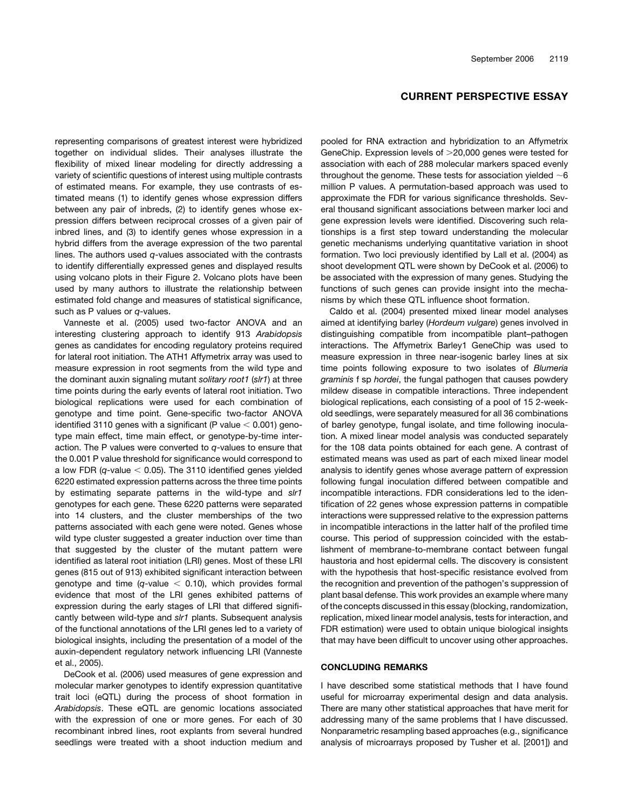representing comparisons of greatest interest were hybridized together on individual slides. Their analyses illustrate the flexibility of mixed linear modeling for directly addressing a variety of scientific questions of interest using multiple contrasts of estimated means. For example, they use contrasts of estimated means (1) to identify genes whose expression differs between any pair of inbreds, (2) to identify genes whose expression differs between reciprocal crosses of a given pair of inbred lines, and (3) to identify genes whose expression in a hybrid differs from the average expression of the two parental lines. The authors used *q*-values associated with the contrasts to identify differentially expressed genes and displayed results using volcano plots in their Figure 2. Volcano plots have been used by many authors to illustrate the relationship between estimated fold change and measures of statistical significance, such as P values or *q*-values.

Vanneste et al. (2005) used two-factor ANOVA and an interesting clustering approach to identify 913 *Arabidopsis* genes as candidates for encoding regulatory proteins required for lateral root initiation. The ATH1 Affymetrix array was used to measure expression in root segments from the wild type and the dominant auxin signaling mutant *solitary root1* (*slr1*) at three time points during the early events of lateral root initiation. Two biological replications were used for each combination of genotype and time point. Gene-specific two-factor ANOVA identified 3110 genes with a significant (P value  $<$  0.001) genotype main effect, time main effect, or genotype-by-time interaction. The P values were converted to *q*-values to ensure that the 0.001 P value threshold for significance would correspond to a low FDR  $(q$ -value  $<$  0.05). The 3110 identified genes yielded 6220 estimated expression patterns across the three time points by estimating separate patterns in the wild-type and *slr1* genotypes for each gene. These 6220 patterns were separated into 14 clusters, and the cluster memberships of the two patterns associated with each gene were noted. Genes whose wild type cluster suggested a greater induction over time than that suggested by the cluster of the mutant pattern were identified as lateral root initiation (LRI) genes. Most of these LRI genes (815 out of 913) exhibited significant interaction between genotype and time  $(q$ -value  $<$  0.10), which provides formal evidence that most of the LRI genes exhibited patterns of expression during the early stages of LRI that differed significantly between wild-type and *slr1* plants. Subsequent analysis of the functional annotations of the LRI genes led to a variety of biological insights, including the presentation of a model of the auxin-dependent regulatory network influencing LRI (Vanneste et al., 2005).

DeCook et al. (2006) used measures of gene expression and molecular marker genotypes to identify expression quantitative trait loci (eQTL) during the process of shoot formation in *Arabidopsis*. These eQTL are genomic locations associated with the expression of one or more genes. For each of 30 recombinant inbred lines, root explants from several hundred seedlings were treated with a shoot induction medium and pooled for RNA extraction and hybridization to an Affymetrix GeneChip. Expression levels of >20,000 genes were tested for association with each of 288 molecular markers spaced evenly throughout the genome. These tests for association yielded  $\sim$ 6 million P values. A permutation-based approach was used to approximate the FDR for various significance thresholds. Several thousand significant associations between marker loci and gene expression levels were identified. Discovering such relationships is a first step toward understanding the molecular genetic mechanisms underlying quantitative variation in shoot formation. Two loci previously identified by Lall et al. (2004) as shoot development QTL were shown by DeCook et al. (2006) to be associated with the expression of many genes. Studying the functions of such genes can provide insight into the mechanisms by which these QTL influence shoot formation.

Caldo et al. (2004) presented mixed linear model analyses aimed at identifying barley (*Hordeum vulgare*) genes involved in distinguishing compatible from incompatible plant–pathogen interactions. The Affymetrix Barley1 GeneChip was used to measure expression in three near-isogenic barley lines at six time points following exposure to two isolates of *Blumeria graminis* f sp *hordei*, the fungal pathogen that causes powdery mildew disease in compatible interactions. Three independent biological replications, each consisting of a pool of 15 2-weekold seedlings, were separately measured for all 36 combinations of barley genotype, fungal isolate, and time following inoculation. A mixed linear model analysis was conducted separately for the 108 data points obtained for each gene. A contrast of estimated means was used as part of each mixed linear model analysis to identify genes whose average pattern of expression following fungal inoculation differed between compatible and incompatible interactions. FDR considerations led to the identification of 22 genes whose expression patterns in compatible interactions were suppressed relative to the expression patterns in incompatible interactions in the latter half of the profiled time course. This period of suppression coincided with the establishment of membrane-to-membrane contact between fungal haustoria and host epidermal cells. The discovery is consistent with the hypothesis that host-specific resistance evolved from the recognition and prevention of the pathogen's suppression of plant basal defense. This work provides an example where many of the concepts discussed in this essay (blocking, randomization, replication, mixed linear model analysis, tests for interaction, and FDR estimation) were used to obtain unique biological insights that may have been difficult to uncover using other approaches.

#### CONCLUDING REMARKS

I have described some statistical methods that I have found useful for microarray experimental design and data analysis. There are many other statistical approaches that have merit for addressing many of the same problems that I have discussed. Nonparametric resampling based approaches (e.g., significance analysis of microarrays proposed by Tusher et al. [2001]) and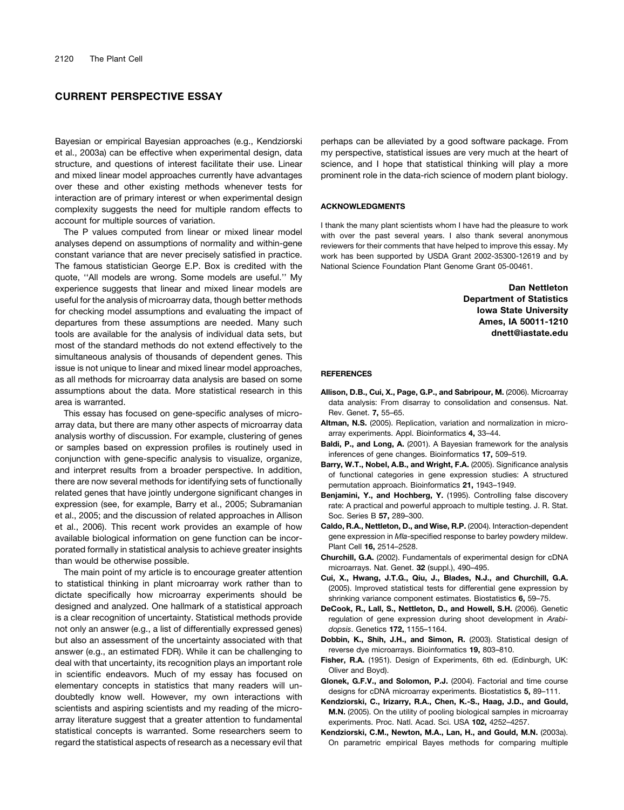Bayesian or empirical Bayesian approaches (e.g., Kendziorski et al., 2003a) can be effective when experimental design, data structure, and questions of interest facilitate their use. Linear and mixed linear model approaches currently have advantages over these and other existing methods whenever tests for interaction are of primary interest or when experimental design complexity suggests the need for multiple random effects to account for multiple sources of variation.

The P values computed from linear or mixed linear model analyses depend on assumptions of normality and within-gene constant variance that are never precisely satisfied in practice. The famous statistician George E.P. Box is credited with the quote, ''All models are wrong. Some models are useful.'' My experience suggests that linear and mixed linear models are useful for the analysis of microarray data, though better methods for checking model assumptions and evaluating the impact of departures from these assumptions are needed. Many such tools are available for the analysis of individual data sets, but most of the standard methods do not extend effectively to the simultaneous analysis of thousands of dependent genes. This issue is not unique to linear and mixed linear model approaches, as all methods for microarray data analysis are based on some assumptions about the data. More statistical research in this area is warranted.

This essay has focused on gene-specific analyses of microarray data, but there are many other aspects of microarray data analysis worthy of discussion. For example, clustering of genes or samples based on expression profiles is routinely used in conjunction with gene-specific analysis to visualize, organize, and interpret results from a broader perspective. In addition, there are now several methods for identifying sets of functionally related genes that have jointly undergone significant changes in expression (see, for example, Barry et al., 2005; Subramanian et al., 2005; and the discussion of related approaches in Allison et al., 2006). This recent work provides an example of how available biological information on gene function can be incorporated formally in statistical analysis to achieve greater insights than would be otherwise possible.

The main point of my article is to encourage greater attention to statistical thinking in plant microarray work rather than to dictate specifically how microarray experiments should be designed and analyzed. One hallmark of a statistical approach is a clear recognition of uncertainty. Statistical methods provide not only an answer (e.g., a list of differentially expressed genes) but also an assessment of the uncertainty associated with that answer (e.g., an estimated FDR). While it can be challenging to deal with that uncertainty, its recognition plays an important role in scientific endeavors. Much of my essay has focused on elementary concepts in statistics that many readers will undoubtedly know well. However, my own interactions with scientists and aspiring scientists and my reading of the microarray literature suggest that a greater attention to fundamental statistical concepts is warranted. Some researchers seem to regard the statistical aspects of research as a necessary evil that

perhaps can be alleviated by a good software package. From my perspective, statistical issues are very much at the heart of science, and I hope that statistical thinking will play a more prominent role in the data-rich science of modern plant biology.

#### ACKNOWLEDGMENTS

I thank the many plant scientists whom I have had the pleasure to work with over the past several years. I also thank several anonymous reviewers for their comments that have helped to improve this essay. My work has been supported by USDA Grant 2002-35300-12619 and by National Science Foundation Plant Genome Grant 05-00461.

> Dan Nettleton Department of Statistics Iowa State University Ames, IA 50011-1210 dnett@iastate.edu

#### **REFERENCES**

- Allison, D.B., Cui, X., Page, G.P., and Sabripour, M. (2006). Microarray data analysis: From disarray to consolidation and consensus. Nat. Rev. Genet. 7, 55–65.
- Altman, N.S. (2005). Replication, variation and normalization in microarray experiments. Appl. Bioinformatics 4, 33–44.
- Baldi, P., and Long, A. (2001). A Bayesian framework for the analysis inferences of gene changes. Bioinformatics 17, 509–519.
- Barry, W.T., Nobel, A.B., and Wright, F.A. (2005). Significance analysis of functional categories in gene expression studies: A structured permutation approach. Bioinformatics 21, 1943–1949.
- Benjamini, Y., and Hochberg, Y. (1995). Controlling false discovery rate: A practical and powerful approach to multiple testing. J. R. Stat. Soc. Series B 57, 289–300.
- Caldo, R.A., Nettleton, D., and Wise, R.P. (2004). Interaction-dependent gene expression in *Mla*-specified response to barley powdery mildew. Plant Cell 16, 2514–2528.
- Churchill, G.A. (2002). Fundamentals of experimental design for cDNA microarrays. Nat. Genet. 32 (suppl.), 490–495.
- Cui, X., Hwang, J.T.G., Qiu, J., Blades, N.J., and Churchill, G.A. (2005). Improved statistical tests for differential gene expression by shrinking variance component estimates. Biostatistics 6, 59–75.
- DeCook, R., Lall, S., Nettleton, D., and Howell, S.H. (2006). Genetic regulation of gene expression during shoot development in *Arabidopsis*. Genetics 172, 1155–1164.
- Dobbin, K., Shih, J.H., and Simon, R. (2003). Statistical design of reverse dye microarrays. Bioinformatics 19, 803–810.
- Fisher, R.A. (1951). Design of Experiments, 6th ed. (Edinburgh, UK: Oliver and Boyd).
- Glonek, G.F.V., and Solomon, P.J. (2004). Factorial and time course designs for cDNA microarray experiments. Biostatistics 5, 89–111.
- Kendziorski, C., Irizarry, R.A., Chen, K.-S., Haag, J.D., and Gould, M.N. (2005). On the utility of pooling biological samples in microarray experiments. Proc. Natl. Acad. Sci. USA 102, 4252–4257.
- Kendziorski, C.M., Newton, M.A., Lan, H., and Gould, M.N. (2003a). On parametric empirical Bayes methods for comparing multiple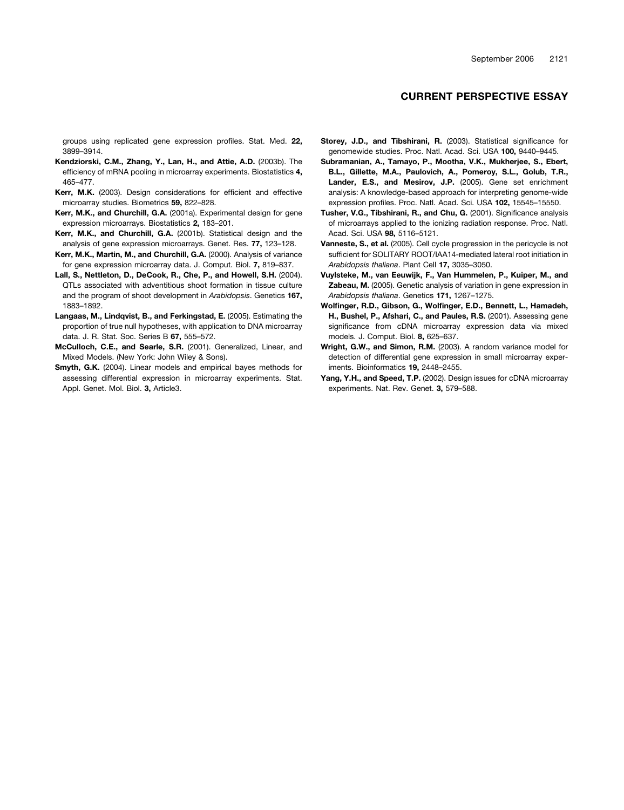groups using replicated gene expression profiles. Stat. Med. 22, 3899–3914.

- Kendziorski, C.M., Zhang, Y., Lan, H., and Attie, A.D. (2003b). The efficiency of mRNA pooling in microarray experiments. Biostatistics 4, 465–477.
- Kerr, M.K. (2003). Design considerations for efficient and effective microarray studies. Biometrics 59, 822–828.
- Kerr, M.K., and Churchill, G.A. (2001a). Experimental design for gene expression microarrays. Biostatistics 2, 183–201.
- Kerr, M.K., and Churchill, G.A. (2001b). Statistical design and the analysis of gene expression microarrays. Genet. Res. 77, 123–128.
- Kerr, M.K., Martin, M., and Churchill, G.A. (2000). Analysis of variance for gene expression microarray data. J. Comput. Biol. 7, 819–837.
- Lall, S., Nettleton, D., DeCook, R., Che, P., and Howell, S.H. (2004). QTLs associated with adventitious shoot formation in tissue culture and the program of shoot development in *Arabidopsis*. Genetics 167, 1883–1892.
- Langaas, M., Lindqvist, B., and Ferkingstad, E. (2005). Estimating the proportion of true null hypotheses, with application to DNA microarray data. J. R. Stat. Soc. Series B 67, 555–572.
- McCulloch, C.E., and Searle, S.R. (2001). Generalized, Linear, and Mixed Models. (New York: John Wiley & Sons).
- Smyth, G.K. (2004). Linear models and empirical bayes methods for assessing differential expression in microarray experiments. Stat. Appl. Genet. Mol. Biol. 3, Article3.
- Storey, J.D., and Tibshirani, R. (2003). Statistical significance for genomewide studies. Proc. Natl. Acad. Sci. USA 100, 9440–9445.
- Subramanian, A., Tamayo, P., Mootha, V.K., Mukherjee, S., Ebert, B.L., Gillette, M.A., Paulovich, A., Pomeroy, S.L., Golub, T.R., Lander, E.S., and Mesirov, J.P. (2005). Gene set enrichment analysis: A knowledge-based approach for interpreting genome-wide expression profiles. Proc. Natl. Acad. Sci. USA 102, 15545–15550.
- Tusher, V.G., Tibshirani, R., and Chu, G. (2001). Significance analysis of microarrays applied to the ionizing radiation response. Proc. Natl. Acad. Sci. USA 98, 5116–5121.
- Vanneste, S., et al. (2005). Cell cycle progression in the pericycle is not sufficient for SOLITARY ROOT/IAA14-mediated lateral root initiation in *Arabidopsis thaliana*. Plant Cell 17, 3035–3050.
- Vuylsteke, M., van Eeuwijk, F., Van Hummelen, P., Kuiper, M., and Zabeau, M. (2005). Genetic analysis of variation in gene expression in *Arabidopsis thaliana*. Genetics 171, 1267–1275.
- Wolfinger, R.D., Gibson, G., Wolfinger, E.D., Bennett, L., Hamadeh, H., Bushel, P., Afshari, C., and Paules, R.S. (2001). Assessing gene significance from cDNA microarray expression data via mixed models. J. Comput. Biol. 8, 625–637.
- Wright, G.W., and Simon, R.M. (2003). A random variance model for detection of differential gene expression in small microarray experiments. Bioinformatics 19, 2448–2455.
- Yang, Y.H., and Speed, T.P. (2002). Design issues for cDNA microarray experiments. Nat. Rev. Genet. 3, 579–588.